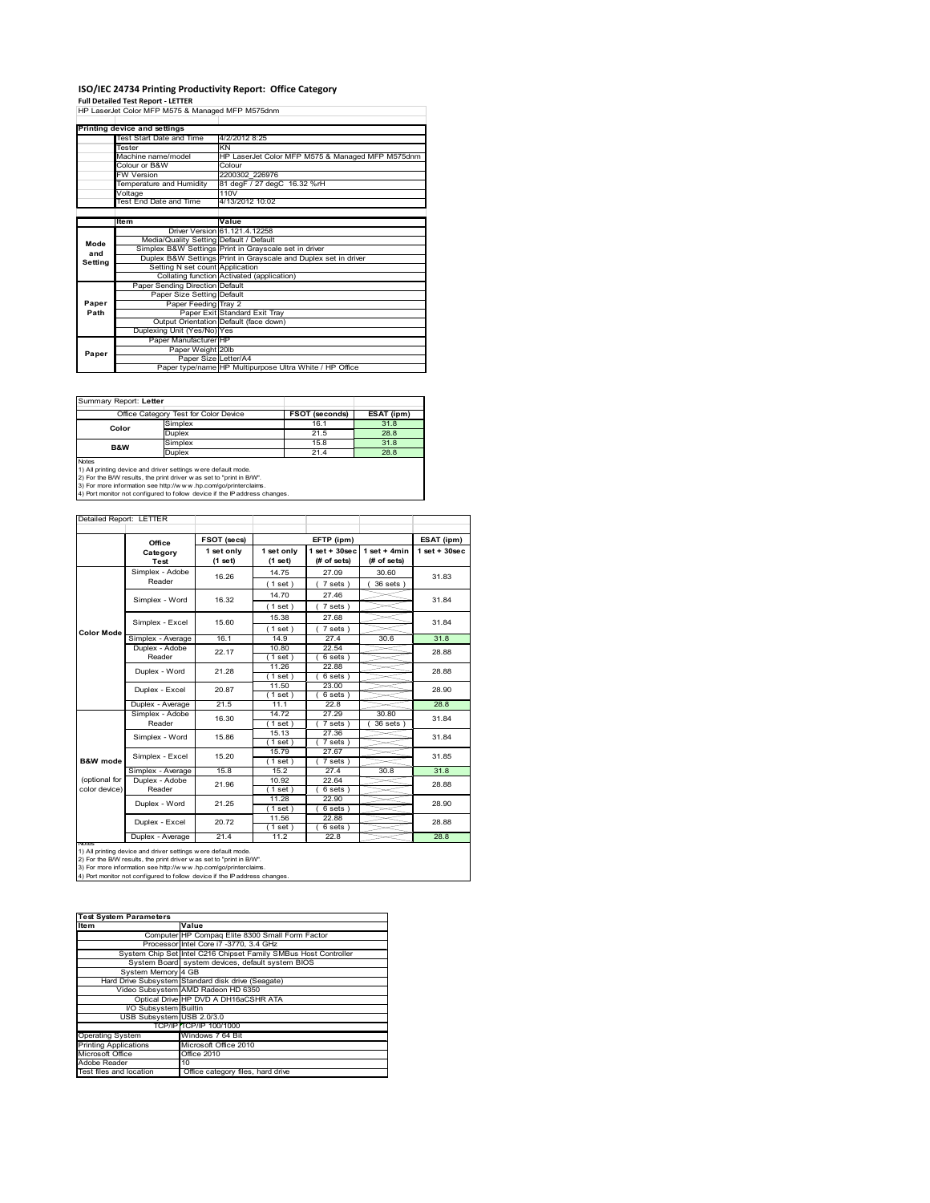# **ISO/IEC 24734 Printing Productivity Report: Office Category Full Detailed Test Report ‐ LETTER** HP LaserJet Color MFP M575 & Managed MFP M575dnm

|         | Printing device and settings            |                                                                 |  |
|---------|-----------------------------------------|-----------------------------------------------------------------|--|
|         | Test Start Date and Time                | 4/2/2012 8:25                                                   |  |
|         | Tester                                  | KN                                                              |  |
|         | Machine name/model                      | HP LaserJet Color MFP M575 & Managed MFP M575dnm                |  |
|         | Colour or B&W                           | Colour                                                          |  |
|         | <b>FW Version</b>                       | 2200302 226976                                                  |  |
|         | Temperature and Humidity                | 81 degF / 27 degC 16.32 %rH                                     |  |
|         | Voltage                                 | 110V                                                            |  |
|         | Test End Date and Time                  | 4/13/2012 10:02                                                 |  |
|         |                                         |                                                                 |  |
|         | Item                                    | Value                                                           |  |
|         |                                         | Driver Version 61.121.4.12258                                   |  |
| Mode    | Media/Quality Setting Default / Default |                                                                 |  |
| and     |                                         | Simplex B&W Settings Print in Grayscale set in driver           |  |
| Setting |                                         | Duplex B&W Settings Print in Grayscale and Duplex set in driver |  |
|         | Setting N set count Application         |                                                                 |  |
|         |                                         | Collating function Activated (application)                      |  |
|         | Paper Sending Direction Default         |                                                                 |  |
|         | Paper Size Setting Default              |                                                                 |  |
| Paper   | Paper Feeding Tray 2                    |                                                                 |  |
| Path    |                                         | Paper Exit Standard Exit Tray                                   |  |
|         |                                         | Output Orientation Default (face down)                          |  |
|         | Duplexing Unit (Yes/No) Yes             |                                                                 |  |
|         | Paper Manufacturer HP                   |                                                                 |  |
| Paper   | Paper Weight 20lb                       |                                                                 |  |
|         | Paper Size Letter/A4                    |                                                                 |  |
|         |                                         | Paper type/name HP Multipurpose Ultra White / HP Office         |  |

Summary Report: **Letter**

| Office Category Test for Color Device                                                                                                                                                                                                                                                                 |               | <b>FSOT (seconds)</b> | ESAT (ipm) |  |  |
|-------------------------------------------------------------------------------------------------------------------------------------------------------------------------------------------------------------------------------------------------------------------------------------------------------|---------------|-----------------------|------------|--|--|
| Color                                                                                                                                                                                                                                                                                                 | Simplex       | 16.1                  | 31.8       |  |  |
|                                                                                                                                                                                                                                                                                                       | Duplex        | 21.5                  | 28.8       |  |  |
| <b>B&amp;W</b>                                                                                                                                                                                                                                                                                        | Simplex       | 15.8                  | 31.8       |  |  |
|                                                                                                                                                                                                                                                                                                       | <b>Duplex</b> | 21.4                  | 28.8       |  |  |
| <b>Notes</b><br>1) All printing device and driver settings were default mode.<br>2) For the B/W results, the print driver was set to "print in B/W".<br>3) For more information see http://www.hp.com/go/printerclaims.<br>4) Port monitor not configured to follow device if the IP address changes. |               |                       |            |  |  |

|                     |                    |                           | EFTP (ipm)        |                     |                | ESAT (ipm)         |
|---------------------|--------------------|---------------------------|-------------------|---------------------|----------------|--------------------|
|                     | Office<br>Category | FSOT (secs)<br>1 set only | 1 set only        | $1$ set + $30$ sec  | $1$ set + 4min | $1$ set + $30$ sec |
|                     | <b>Test</b>        | (1 set)                   | (1 set)           | (# of sets)         | (# of sets)    |                    |
|                     | Simplex - Adobe    | 16.26                     | 14.75             | 27.09               | 30.60          | 31.83              |
|                     | Reader             |                           | (1 set)           | $7 sets$ )          | 36 sets )      |                    |
|                     | Simplex - Word     | 16.32                     | 14.70             | 27.46               |                | 31.84              |
|                     |                    |                           | (1 set)           | 7 sets)             |                |                    |
|                     | Simplex - Excel    | 15.60                     | 15.38             | 27.68               |                | 31.84              |
| <b>Color Mode</b>   |                    |                           | (1 set)           | 7 sets)             |                |                    |
|                     | Simplex - Average  | 16.1                      | 14.9              | 27.4                | 30.6           | 31.8               |
|                     | Duplex - Adobe     | 22.17                     | 10.80             | 22.54               |                | 28.88              |
|                     | Reader             |                           | $1$ set)          | $6 sets$ )          |                |                    |
|                     | Duplex - Word      | 21.28                     | 11.26             | 22.88               |                | 28.88              |
|                     |                    |                           | $1$ set)          | $6 sets$ )          |                |                    |
|                     | Duplex - Excel     | 20.87                     | 11.50             | 23.00               |                | 28.90              |
|                     |                    |                           | $1$ set)          | $6 sets$ )          |                |                    |
|                     | Duplex - Average   | 21.5                      | 11.1              | 22.8                |                | 28.8               |
|                     | Simplex - Adobe    | 16.30<br>15.86            | 14.72             | 27.29               | 30.80          | 31.84<br>31.84     |
|                     | Reader             |                           | (1 set )<br>15.13 | $7 sets$ )<br>27.36 | 36 sets        |                    |
|                     | Simplex - Word     |                           | (1 set)           | $7 sets$ )          |                |                    |
|                     |                    |                           | 15.79             | 27.67               |                |                    |
| <b>B&amp;W</b> mode | Simplex - Excel    | 15.20                     | $1$ set)          | $7 sets$ )          |                | 31.85              |
|                     | Simplex - Average  | 15.8                      | 15.2              | 27.4                | 30.8           | 31.8               |
| (optional for       | Duplex - Adobe     | 21.96                     | 10.92             | 22.64               |                | 28.88              |
| color device)       | Reader             |                           | $1$ set)          | $6 sets$ )          |                |                    |
|                     | Duplex - Word      | 21.25                     | 11.28             | 22.90               |                | 28.90              |
|                     |                    |                           | $1$ set)          | 6 sets)             |                |                    |
|                     | Duplex - Excel     | 20.72                     | 11.56             | 22.88               |                | 28.88              |
|                     |                    |                           | $1$ set)          | $6 sets$ )          |                |                    |
| <b>NOIES</b>        | Duplex - Average   | 21.4                      | 11.2              | 22.8                |                | 28.8               |

nous<br>1) All printing device and driver settings were default mode.<br>2) For the B/W results, the print driver was set to "print in B/W".<br>3) For more information see http://www.hp.com/go/printerclaims.<br>4) Por more information

| <b>Test System Parameters</b> |                                                                 |  |  |  |  |
|-------------------------------|-----------------------------------------------------------------|--|--|--|--|
| <b>Item</b>                   | Value                                                           |  |  |  |  |
|                               | Computer HP Compaq Elite 8300 Small Form Factor                 |  |  |  |  |
|                               | Processor Intel Core i7 -3770, 3.4 GHz                          |  |  |  |  |
|                               | System Chip Set Intel C216 Chipset Family SMBus Host Controller |  |  |  |  |
|                               | System Board system devices, default system BIOS                |  |  |  |  |
| System Memory 4 GB            |                                                                 |  |  |  |  |
|                               | Hard Drive Subsystem Standard disk drive (Seagate)              |  |  |  |  |
|                               | Video Subsystem AMD Radeon HD 6350                              |  |  |  |  |
|                               | Optical Drive HP DVD A DH16aCSHR ATA                            |  |  |  |  |
| I/O Subsystem Builtin         |                                                                 |  |  |  |  |
| USB Subsystem USB 2.0/3.0     |                                                                 |  |  |  |  |
|                               | TCP/IP TCP/IP 100/1000                                          |  |  |  |  |
| <b>Operating System</b>       | Windows 7 64 Bit                                                |  |  |  |  |
| <b>Printing Applications</b>  | Microsoft Office 2010                                           |  |  |  |  |
| Microsoft Office              | Office 2010                                                     |  |  |  |  |
| Adobe Reader                  | 10                                                              |  |  |  |  |
| Test files and location       | Office category files, hard drive                               |  |  |  |  |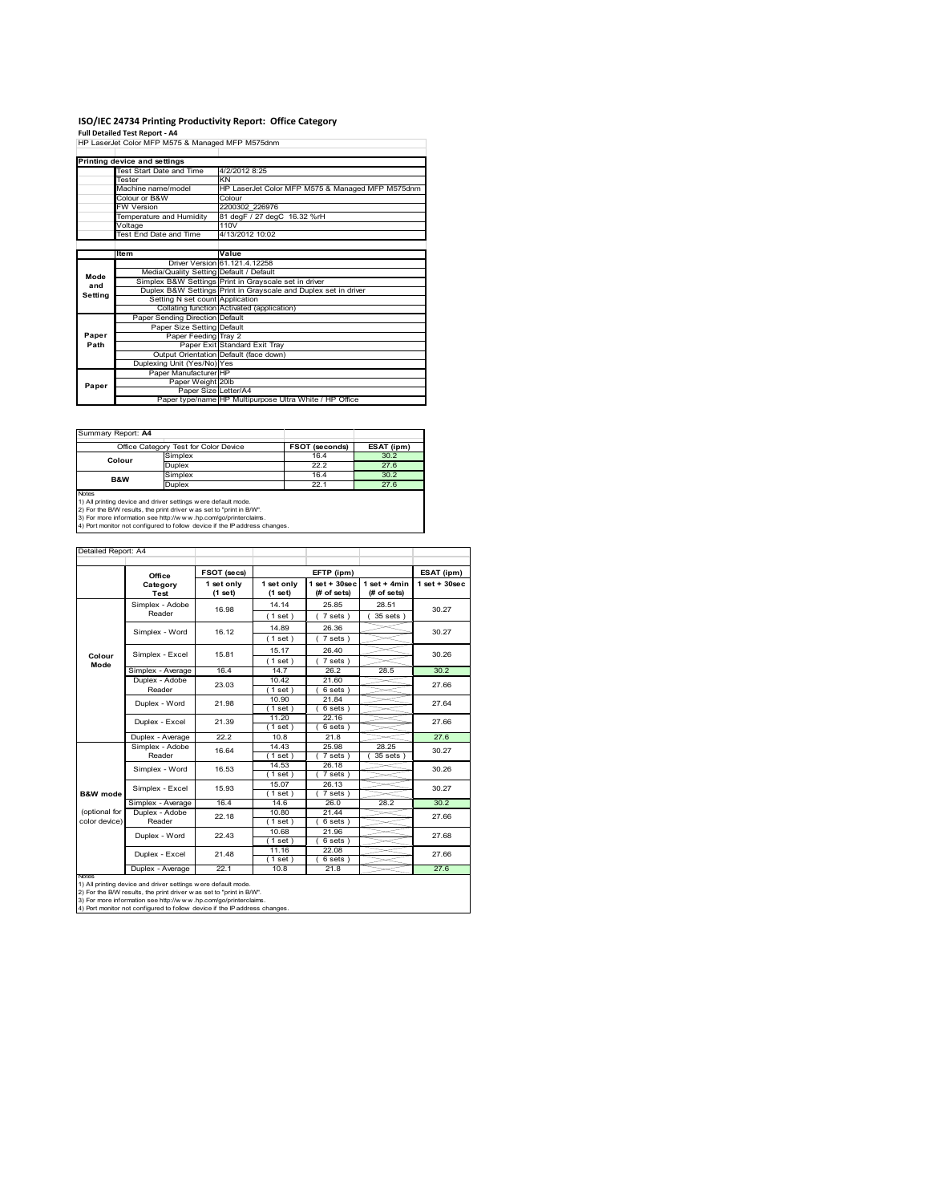# **ISO/IEC 24734 Printing Productivity Report: Office Category Full Detailed Test Report ‐ A4** HP LaserJet Color MFP M575 & Managed MFP M575dnm

|         | III Lasciuct Color IVIII IVIOTO O IVIERIEGO IVIII IVIOTOGIIIII |                                                                 |
|---------|----------------------------------------------------------------|-----------------------------------------------------------------|
|         |                                                                |                                                                 |
|         | Printing device and settings                                   |                                                                 |
|         | Test Start Date and Time                                       | 4/2/2012 8:25                                                   |
|         | Tester                                                         | KN                                                              |
|         | Machine name/model                                             | HP LaserJet Color MFP M575 & Managed MFP M575dnm                |
|         | Colour or B&W                                                  | Colour                                                          |
|         | <b>FW Version</b>                                              | 2200302 226976                                                  |
|         | Temperature and Humidity                                       | 81 degF / 27 degC 16.32 %rH                                     |
|         | Voltage                                                        | 110V                                                            |
|         | Test End Date and Time                                         | 4/13/2012 10:02                                                 |
|         |                                                                |                                                                 |
|         | <b>Item</b>                                                    | Value                                                           |
|         |                                                                | Driver Version 61.121.4.12258                                   |
| Mode    | Media/Quality Setting Default / Default                        |                                                                 |
| and     |                                                                | Simplex B&W Settings Print in Grayscale set in driver           |
| Setting |                                                                | Duplex B&W Settings Print in Grayscale and Duplex set in driver |
|         | Setting N set count Application                                |                                                                 |
|         |                                                                | Collating function Activated (application)                      |
|         | Paper Sending Direction Default                                |                                                                 |
|         | Paper Size Setting Default                                     |                                                                 |
| Paper   | Paper Feeding Tray 2                                           |                                                                 |
| Path    |                                                                | Paper Exit Standard Exit Tray                                   |
|         |                                                                | Output Orientation Default (face down)                          |
|         | Duplexing Unit (Yes/No) Yes                                    |                                                                 |
|         | Paper Manufacturer HP                                          |                                                                 |
| Paper   | Paper Weight 20lb                                              |                                                                 |
|         | Paper Size Letter/A4                                           |                                                                 |
|         |                                                                | Paper type/name HP Multipurpose Ultra White / HP Office         |

| Summary Report: A4                                                         |                                                                    |                       |            |  |  |  |  |
|----------------------------------------------------------------------------|--------------------------------------------------------------------|-----------------------|------------|--|--|--|--|
|                                                                            | Office Category Test for Color Device                              | <b>FSOT (seconds)</b> | ESAT (ipm) |  |  |  |  |
| Simplex<br>Colour                                                          |                                                                    | 16.4                  | 30.2       |  |  |  |  |
|                                                                            | <b>Duplex</b>                                                      | 22.2                  | 27.6       |  |  |  |  |
| B&W                                                                        | Simplex                                                            | 16.4                  | 30.2       |  |  |  |  |
|                                                                            | <b>Duplex</b>                                                      | 22.1                  | 27.6       |  |  |  |  |
| Notes                                                                      |                                                                    |                       |            |  |  |  |  |
|                                                                            | 1) All printing device and driver settings were default mode.      |                       |            |  |  |  |  |
| 2) For the B/W results, the print driver was set to "print in B/W".        |                                                                    |                       |            |  |  |  |  |
|                                                                            | 3) For more information see http://w w w .hp.com/go/printerclaims. |                       |            |  |  |  |  |
| 4) Port monitor not configured to follow device if the IP address changes. |                                                                    |                       |            |  |  |  |  |

| Detailed Report: A4 |                         |                       |                       |                                  |                               |                    |
|---------------------|-------------------------|-----------------------|-----------------------|----------------------------------|-------------------------------|--------------------|
|                     | Office                  | FSOT (secs)           |                       | EFTP (ipm)                       |                               | ESAT (ipm)         |
|                     | Category<br><b>Test</b> | 1 set only<br>(1 set) | 1 set only<br>(1 set) | $1$ set $+30$ sec<br>(# of sets) | $1$ set + 4min<br>(# of sets) | $1$ set + $30$ sec |
|                     | Simplex - Adobe         | 16.98                 | 14.14                 | 25.85                            | 28.51                         | 30.27              |
|                     | Reader                  |                       | (1 set)               | $7 sets$ )                       | 35 sets )                     |                    |
|                     | Simplex - Word          | 16.12                 | 14.89                 | 26.36                            |                               | 30.27              |
|                     |                         |                       | $1$ set)              | $7 sets$ )                       |                               |                    |
|                     | Simplex - Excel         | 15.81                 | 15.17                 | 26.40                            |                               | 30.26              |
| Colour<br>Mode      |                         |                       | (1 set)               | $7 sets$ )                       |                               |                    |
|                     | Simplex - Average       | 16.4                  | 14.7                  | 26.2                             | 28.5                          | 30.2               |
|                     | Duplex - Adobe          | 23.03                 | 10.42                 | 21.60                            |                               | 27.66              |
|                     | Reader                  |                       | $1$ set $)$           | 6 sets)                          |                               |                    |
|                     | Duplex - Word           | 21.98                 | 10.90                 | 21.84                            |                               | 27.64              |
|                     |                         |                       | $1$ set)<br>11.20     | 6 sets)<br>22.16                 |                               |                    |
|                     | Duplex - Excel          | 21.39                 | $1$ set)              | $6 sets$ )                       |                               | 27.66              |
|                     | Duplex - Average        | 22.2                  | 10.8                  | 21.8                             |                               | 27.6               |
|                     | Simplex - Adobe         | 16.64                 | 14.43                 | 25.98                            | 28.25                         |                    |
|                     | Reader                  |                       | $1$ set)              | 7 sets)                          | 35 sets )                     | 30.27              |
|                     | Simplex - Word          | 16.53                 | 14.53                 | 26.18                            |                               | 30.26              |
|                     |                         |                       | $1$ set)              | $7 sets$ )                       |                               |                    |
|                     | Simplex - Excel         | 15.93                 | 15.07                 | 26.13                            |                               | 30.27              |
| <b>B&amp;W</b> mode | Simplex - Average       | 16.4                  | 1 set)<br>14.6        | 7 sets)<br>26.0                  | 28.2                          | 30.2               |
| (optional for       | Duplex - Adobe          |                       | 10.80                 | 21.44                            |                               |                    |
| color device)       | Reader                  | 22.18                 | $1$ set)              | 6 sets)                          |                               | 27.66              |
|                     |                         |                       | 10.68                 | 21.96                            |                               |                    |
|                     | Duplex - Word           | 22.43                 | $1$ set)              | 6 sets)                          |                               | 27.68              |
|                     | Duplex - Excel          | 21.48                 | 11.16                 | 22.08                            |                               | 27.66              |
|                     |                         |                       | $1$ set)              | $6 sets$ )                       |                               |                    |
|                     | Duplex - Average        | 22.1                  | 10.8                  | 21.8                             |                               | 27.6               |

notes<br>1) All printing device and driver settings were default mode.<br>2) For the B/W results, the print driver was set to "print in B/W".<br>3) For more information see http://www.hp.com/go/printerclaims.<br>4) Por more informatio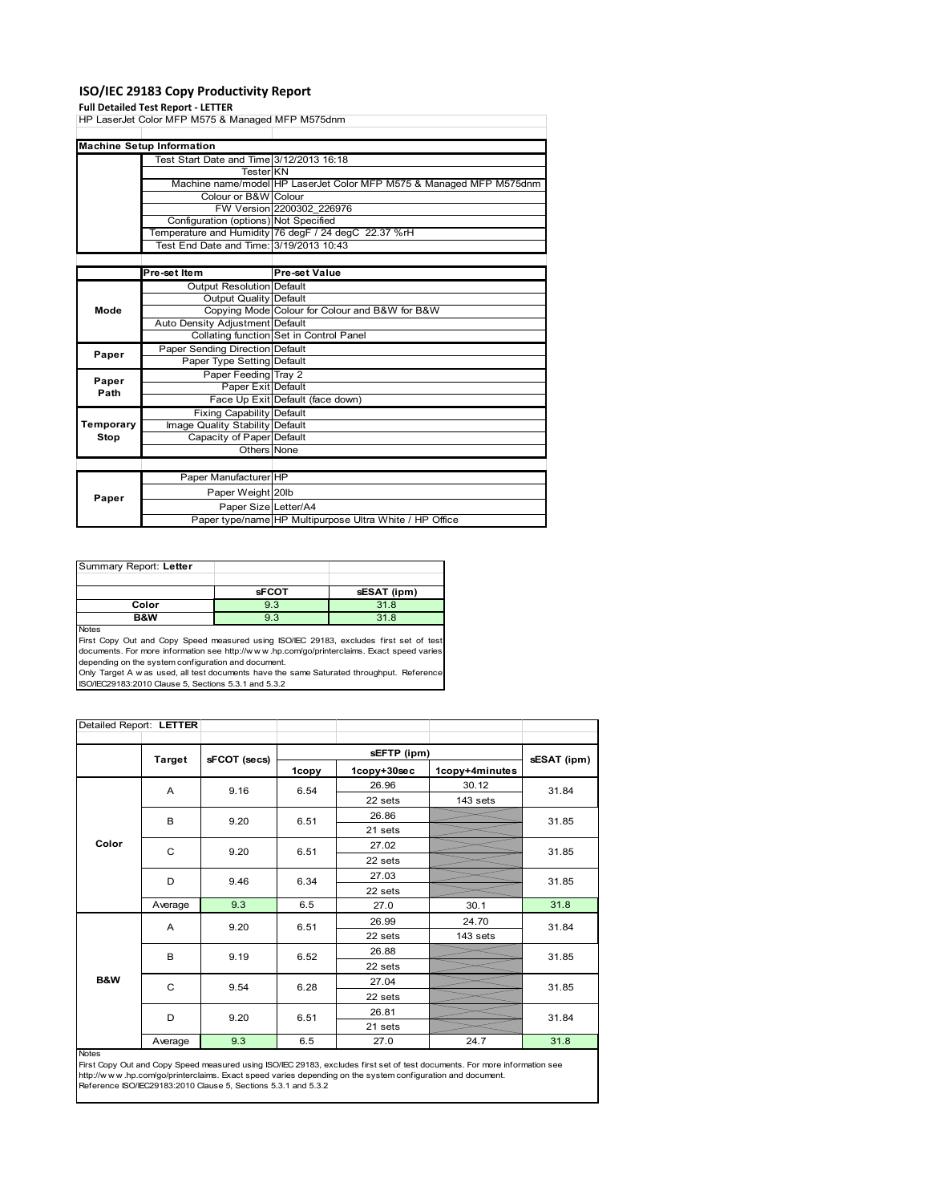### **ISO/IEC 29183 Copy Productivity Report**

**Full Detailed Test Report ‐ LETTER** HP LaserJet Color MFP M575 & Managed MFP M575dnm

|           | Laborou Color IVII I IVIOTO & IVIANAGOG IVII I IVIOTOGIN |                                                                     |
|-----------|----------------------------------------------------------|---------------------------------------------------------------------|
|           |                                                          |                                                                     |
|           | <b>Machine Setup Information</b>                         |                                                                     |
|           | Test Start Date and Time 3/12/2013 16:18                 |                                                                     |
|           | Tester KN                                                |                                                                     |
|           |                                                          | Machine name/model HP LaserJet Color MFP M575 & Managed MFP M575dnm |
|           | Colour or B&W Colour                                     |                                                                     |
|           |                                                          | FW Version 2200302 226976                                           |
|           | Configuration (options) Not Specified                    |                                                                     |
|           |                                                          | Temperature and Humidity 76 degF / 24 degC 22.37 %rH                |
|           | Test End Date and Time: 3/19/2013 10:43                  |                                                                     |
|           |                                                          |                                                                     |
|           | Pre-set Item                                             | Pre-set Value                                                       |
|           | <b>Output Resolution Default</b>                         |                                                                     |
|           | Output Quality Default                                   |                                                                     |
| Mode      |                                                          | Copying Mode Colour for Colour and B&W for B&W                      |
|           | Auto Density Adjustment Default                          |                                                                     |
|           |                                                          | Collating function Set in Control Panel                             |
| Paper     | Paper Sending Direction Default                          |                                                                     |
|           | Paper Type Setting Default                               |                                                                     |
| Paper     | Paper Feeding Tray 2                                     |                                                                     |
| Path      | Paper Exit Default                                       |                                                                     |
|           |                                                          | Face Up Exit Default (face down)                                    |
|           | <b>Fixing Capability Default</b>                         |                                                                     |
| Temporary | Image Quality Stability Default                          |                                                                     |
| Stop      | Capacity of Paper Default                                |                                                                     |
|           | Others None                                              |                                                                     |
|           |                                                          |                                                                     |
|           | Paper Manufacturer HP                                    |                                                                     |
|           | Paper Weight 20lb                                        |                                                                     |
| Paper     | Paper Size Letter/A4                                     |                                                                     |
|           |                                                          | Paper type/name HP Multipurpose Ultra White / HP Office             |

| Summary Report: Letter |              |             |
|------------------------|--------------|-------------|
|                        |              |             |
|                        | <b>sFCOT</b> | sESAT (ipm) |
| Color                  | 9.3          | 31.8        |
| B&W                    | 9.3          | 31.8        |

Notes

First Copy Out and Copy Speed measured using ISO/IEC 29183, excludes first set of test documents. For more information see http://w w w .hp.com/go/printerclaims. Exact speed varies

depending on the system configuration and document.<br>Only Target A w as used, all test documents have the same Saturated throughput. Reference<br>ISO/IEC29183:2010 Clause 5, Sections 5.3.1 and 5.3.2

| Detailed Report: LETTER |         |              |       |             |                |             |
|-------------------------|---------|--------------|-------|-------------|----------------|-------------|
|                         |         |              |       | sEFTP (ipm) |                |             |
|                         | Target  | sFCOT (secs) | 1copy | 1copy+30sec | 1copy+4minutes | sESAT (ipm) |
|                         | A       | 9.16         | 6.54  | 26.96       | 30.12          | 31.84       |
|                         |         |              |       | 22 sets     | 143 sets       |             |
|                         | B       | 9.20         | 6.51  | 26.86       |                | 31.85       |
|                         |         |              |       | 21 sets     |                |             |
| Color                   | C       | 9.20         | 6.51  | 27.02       |                | 31.85       |
|                         |         |              |       | 22 sets     |                |             |
|                         | D       | 9.46         | 6.34  | 27.03       |                | 31.85       |
|                         |         |              |       | 22 sets     |                |             |
|                         | Average | 9.3          | 6.5   | 27.0        | 30.1           | 31.8        |
|                         | A       | 9.20         | 6.51  | 26.99       | 24.70          | 31.84       |
|                         |         |              |       | 22 sets     | 143 sets       |             |
|                         | B       | 9.19         | 6.52  | 26.88       |                | 31.85       |
|                         |         |              |       | 22 sets     |                |             |
| <b>B&amp;W</b>          | C       | 9.54         | 6.28  | 27.04       |                | 31.85       |
|                         |         |              |       | 22 sets     |                |             |
|                         | D       | 9.20         | 6.51  | 26.81       |                | 31.84       |
|                         |         |              |       | 21 sets     |                |             |
|                         | Average | 9.3          | 6.5   | 27.0        | 24.7           | 31.8        |

Notes

First Copy Out and Copy Speed measured using ISO/IEC 29183, excludes first set of test documents. For more information see<br>http://w w w. hp.com/go/printerclaims. Exact speed varies depending on the system configuration and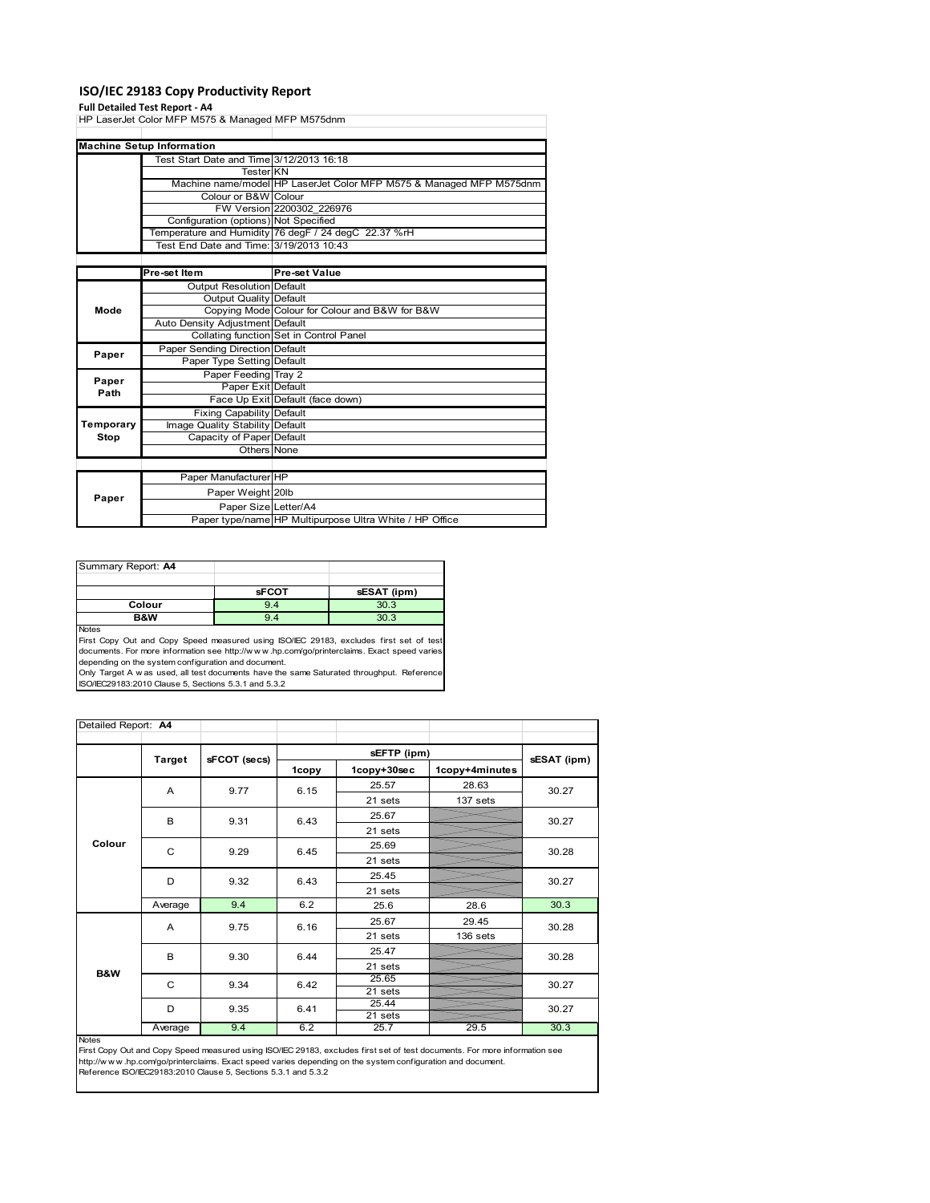### **ISO/IEC 29183 Copy Productivity Report**

**Full Detailed Test Report ‐ A4** HP LaserJet Color MFP M575 & Managed MFP M575dnm

| <b>Machine Setup Information</b><br>Test Start Date and Time 3/12/2013 16:18<br><b>Tester KN</b><br>Machine name/model HP LaserJet Color MFP M575 & Managed MFP M575dnm<br>Colour or B&W Colour<br>FW Version 2200302 226976<br>Configuration (options) Not Specified<br>Temperature and Humidity 76 degF / 24 degC 22.37 %rH<br>Test End Date and Time: 3/19/2013 10:43<br>Pre-set Item<br><b>Pre-set Value</b><br>Output Resolution Default<br>Output Quality Default<br>Mode<br>Copying Mode Colour for Colour and B&W for B&W<br>Auto Density Adjustment Default<br>Collating function Set in Control Panel<br>Paper Sending Direction Default<br>Paper<br>Paper Type Setting Default<br>Paper Feeding Tray 2<br>Paper<br>Paper Exit Default<br>Path<br>Face Up Exit Default (face down)<br><b>Fixing Capability Default</b><br>Temporary<br>Image Quality Stability Default<br>Stop<br>Capacity of Paper Default<br>Others None<br>Paper Manufacturer HP<br>Paper Weight 20lb<br>Paper<br>Paper Size Letter/A4 | iir Laseijet Color ivii r ivi <i>si s</i> oo ivianaged ivii r ivi <i>si</i> Sullini |                                                         |
|---------------------------------------------------------------------------------------------------------------------------------------------------------------------------------------------------------------------------------------------------------------------------------------------------------------------------------------------------------------------------------------------------------------------------------------------------------------------------------------------------------------------------------------------------------------------------------------------------------------------------------------------------------------------------------------------------------------------------------------------------------------------------------------------------------------------------------------------------------------------------------------------------------------------------------------------------------------------------------------------------------------------|-------------------------------------------------------------------------------------|---------------------------------------------------------|
|                                                                                                                                                                                                                                                                                                                                                                                                                                                                                                                                                                                                                                                                                                                                                                                                                                                                                                                                                                                                                     |                                                                                     |                                                         |
|                                                                                                                                                                                                                                                                                                                                                                                                                                                                                                                                                                                                                                                                                                                                                                                                                                                                                                                                                                                                                     |                                                                                     |                                                         |
|                                                                                                                                                                                                                                                                                                                                                                                                                                                                                                                                                                                                                                                                                                                                                                                                                                                                                                                                                                                                                     |                                                                                     |                                                         |
|                                                                                                                                                                                                                                                                                                                                                                                                                                                                                                                                                                                                                                                                                                                                                                                                                                                                                                                                                                                                                     |                                                                                     |                                                         |
|                                                                                                                                                                                                                                                                                                                                                                                                                                                                                                                                                                                                                                                                                                                                                                                                                                                                                                                                                                                                                     |                                                                                     |                                                         |
|                                                                                                                                                                                                                                                                                                                                                                                                                                                                                                                                                                                                                                                                                                                                                                                                                                                                                                                                                                                                                     |                                                                                     |                                                         |
|                                                                                                                                                                                                                                                                                                                                                                                                                                                                                                                                                                                                                                                                                                                                                                                                                                                                                                                                                                                                                     |                                                                                     |                                                         |
|                                                                                                                                                                                                                                                                                                                                                                                                                                                                                                                                                                                                                                                                                                                                                                                                                                                                                                                                                                                                                     |                                                                                     |                                                         |
|                                                                                                                                                                                                                                                                                                                                                                                                                                                                                                                                                                                                                                                                                                                                                                                                                                                                                                                                                                                                                     |                                                                                     |                                                         |
|                                                                                                                                                                                                                                                                                                                                                                                                                                                                                                                                                                                                                                                                                                                                                                                                                                                                                                                                                                                                                     |                                                                                     |                                                         |
|                                                                                                                                                                                                                                                                                                                                                                                                                                                                                                                                                                                                                                                                                                                                                                                                                                                                                                                                                                                                                     |                                                                                     |                                                         |
|                                                                                                                                                                                                                                                                                                                                                                                                                                                                                                                                                                                                                                                                                                                                                                                                                                                                                                                                                                                                                     |                                                                                     |                                                         |
|                                                                                                                                                                                                                                                                                                                                                                                                                                                                                                                                                                                                                                                                                                                                                                                                                                                                                                                                                                                                                     |                                                                                     |                                                         |
|                                                                                                                                                                                                                                                                                                                                                                                                                                                                                                                                                                                                                                                                                                                                                                                                                                                                                                                                                                                                                     |                                                                                     |                                                         |
|                                                                                                                                                                                                                                                                                                                                                                                                                                                                                                                                                                                                                                                                                                                                                                                                                                                                                                                                                                                                                     |                                                                                     |                                                         |
|                                                                                                                                                                                                                                                                                                                                                                                                                                                                                                                                                                                                                                                                                                                                                                                                                                                                                                                                                                                                                     |                                                                                     |                                                         |
|                                                                                                                                                                                                                                                                                                                                                                                                                                                                                                                                                                                                                                                                                                                                                                                                                                                                                                                                                                                                                     |                                                                                     |                                                         |
|                                                                                                                                                                                                                                                                                                                                                                                                                                                                                                                                                                                                                                                                                                                                                                                                                                                                                                                                                                                                                     |                                                                                     |                                                         |
|                                                                                                                                                                                                                                                                                                                                                                                                                                                                                                                                                                                                                                                                                                                                                                                                                                                                                                                                                                                                                     |                                                                                     |                                                         |
|                                                                                                                                                                                                                                                                                                                                                                                                                                                                                                                                                                                                                                                                                                                                                                                                                                                                                                                                                                                                                     |                                                                                     |                                                         |
|                                                                                                                                                                                                                                                                                                                                                                                                                                                                                                                                                                                                                                                                                                                                                                                                                                                                                                                                                                                                                     |                                                                                     |                                                         |
|                                                                                                                                                                                                                                                                                                                                                                                                                                                                                                                                                                                                                                                                                                                                                                                                                                                                                                                                                                                                                     |                                                                                     |                                                         |
|                                                                                                                                                                                                                                                                                                                                                                                                                                                                                                                                                                                                                                                                                                                                                                                                                                                                                                                                                                                                                     |                                                                                     |                                                         |
|                                                                                                                                                                                                                                                                                                                                                                                                                                                                                                                                                                                                                                                                                                                                                                                                                                                                                                                                                                                                                     |                                                                                     |                                                         |
|                                                                                                                                                                                                                                                                                                                                                                                                                                                                                                                                                                                                                                                                                                                                                                                                                                                                                                                                                                                                                     |                                                                                     |                                                         |
|                                                                                                                                                                                                                                                                                                                                                                                                                                                                                                                                                                                                                                                                                                                                                                                                                                                                                                                                                                                                                     |                                                                                     |                                                         |
|                                                                                                                                                                                                                                                                                                                                                                                                                                                                                                                                                                                                                                                                                                                                                                                                                                                                                                                                                                                                                     |                                                                                     |                                                         |
|                                                                                                                                                                                                                                                                                                                                                                                                                                                                                                                                                                                                                                                                                                                                                                                                                                                                                                                                                                                                                     |                                                                                     |                                                         |
|                                                                                                                                                                                                                                                                                                                                                                                                                                                                                                                                                                                                                                                                                                                                                                                                                                                                                                                                                                                                                     |                                                                                     |                                                         |
|                                                                                                                                                                                                                                                                                                                                                                                                                                                                                                                                                                                                                                                                                                                                                                                                                                                                                                                                                                                                                     |                                                                                     |                                                         |
|                                                                                                                                                                                                                                                                                                                                                                                                                                                                                                                                                                                                                                                                                                                                                                                                                                                                                                                                                                                                                     |                                                                                     | Paper type/name HP Multipurpose Ultra White / HP Office |

| Summary Report: A4 |              |             |
|--------------------|--------------|-------------|
|                    |              |             |
|                    | <b>sFCOT</b> | sESAT (ipm) |
| Colour             | 9.4          | 30.3        |
| <b>B&amp;W</b>     | 9.4          | 30.3        |
| <b>Notes</b>       |              |             |

First Copy Out and Copy Speed measured using ISO/IEC 29183, excludes first set of test documents. For more information see http://w w w .hp.com/go/printerclaims. Exact speed varies

depending on the system configuration and document.<br>Only Target A w as used, all test documents have the same Saturated throughput. Reference<br>ISO/IEC29183:2010 Clause 5, Sections 5.3.1 and 5.3.2

| Detailed Report: A4 |         |              |              |                  |                |       |
|---------------------|---------|--------------|--------------|------------------|----------------|-------|
|                     |         |              |              | sEFTP (ipm)      |                |       |
|                     | Target  | sFCOT (secs) |              | sESAT (ipm)      |                |       |
|                     |         |              | 1copy        | 1copy+30sec      | 1copy+4minutes |       |
|                     | A       | 9.77         | 6.15         | 25.57            | 28.63          | 30.27 |
|                     |         |              |              | 21 sets          | 137 sets       |       |
|                     | B       | 9.31         | 6.43         | 25.67            |                | 30.27 |
|                     |         |              |              | 21 sets          |                |       |
| Colour              | C       | 9.29         | 6.45         | 25.69            |                | 30.28 |
|                     |         |              |              | 21 sets          |                |       |
|                     | D       | 9.32         | 6.43         | 25.45            |                | 30.27 |
|                     |         |              |              | 21 sets          |                |       |
|                     | Average | 9.4          | 6.2          | 25.6             | 28.6           | 30.3  |
| B&W                 | A       | 9.75         | 6.16         | 25.67            | 29.45          | 30.28 |
|                     |         |              |              | 21 sets          | 136 sets       |       |
|                     | B       | 9.30         | 6.44         | 25.47            |                | 30.28 |
|                     |         |              |              | 21 sets          |                |       |
|                     | C<br>D  | 9.34<br>9.35 | 6.42<br>6.41 | 25.65            |                | 30.27 |
|                     |         |              |              | 21 sets          |                |       |
|                     |         |              |              | 25.44<br>21 sets |                | 30.27 |
|                     | Average | 9.4          | 6.2          | 25.7             | 29.5           | 30.3  |

Notes<br>First Copy Out and Copy Speed measured using ISO/IEC 29183, excludes first set of test documents. For more information see<br>http://www.hp.com/go/printerclaims. Exact speed varies depending on the system configuration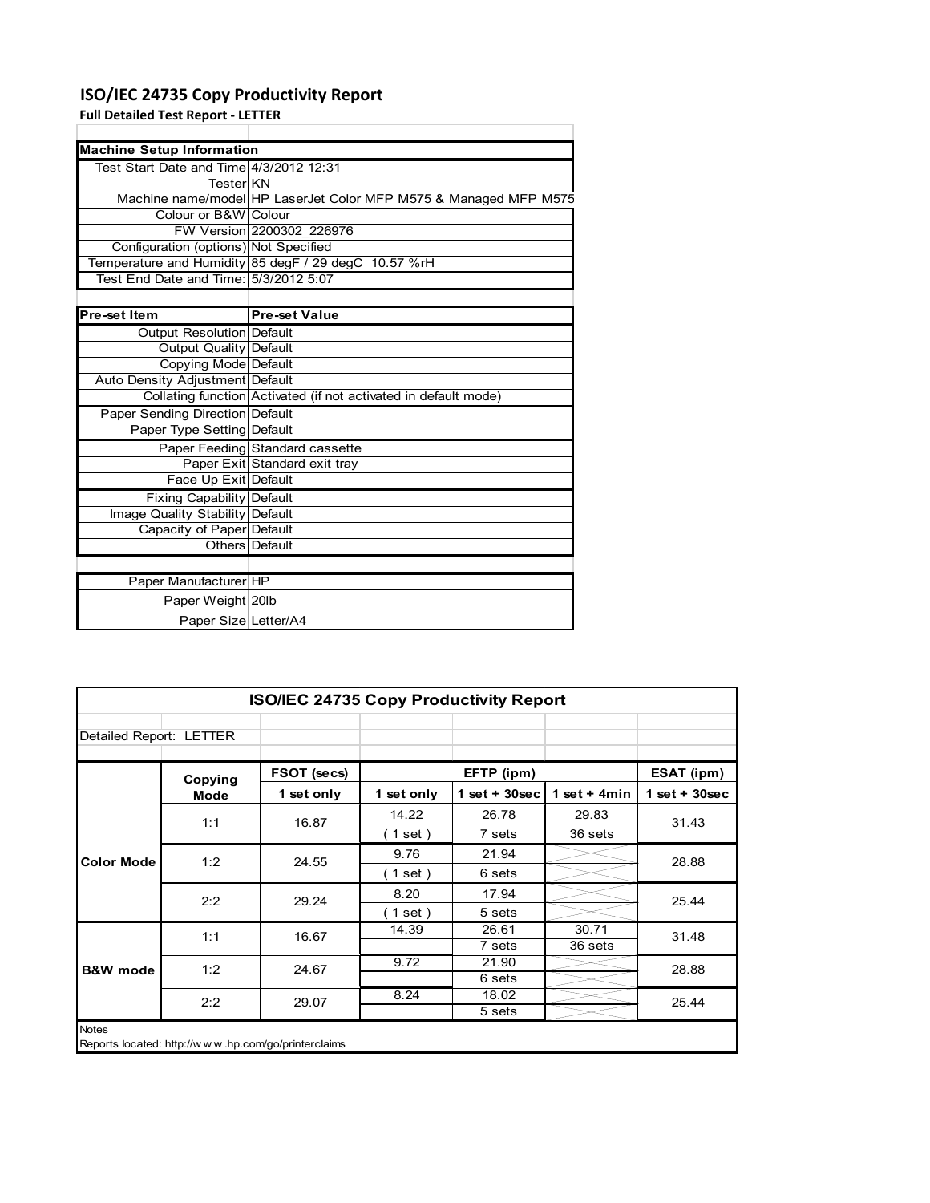## **ISO/IEC 24735 Copy Productivity Report**

**Full Detailed Test Report ‐ LETTER**

| <b>Machine Setup Information</b>        |                                                                  |  |  |  |  |  |
|-----------------------------------------|------------------------------------------------------------------|--|--|--|--|--|
| Test Start Date and Time 4/3/2012 12:31 |                                                                  |  |  |  |  |  |
| TesterIKN                               |                                                                  |  |  |  |  |  |
|                                         | Machine name/model HP LaserJet Color MFP M575 & Managed MFP M575 |  |  |  |  |  |
| Colour or B&W Colour                    |                                                                  |  |  |  |  |  |
|                                         | FW Version 2200302 226976                                        |  |  |  |  |  |
| Configuration (options) Not Specified   |                                                                  |  |  |  |  |  |
|                                         | Temperature and Humidity 85 degF / 29 degC 10.57 %rH             |  |  |  |  |  |
| Test End Date and Time: 5/3/2012 5:07   |                                                                  |  |  |  |  |  |
|                                         |                                                                  |  |  |  |  |  |
| Pre-set Item                            | <b>Pre-set Value</b>                                             |  |  |  |  |  |
| <b>Output Resolution Default</b>        |                                                                  |  |  |  |  |  |
| <b>Output Quality Default</b>           |                                                                  |  |  |  |  |  |
| Copying Mode Default                    |                                                                  |  |  |  |  |  |
| Auto Density Adjustment Default         |                                                                  |  |  |  |  |  |
|                                         | Collating function Activated (if not activated in default mode)  |  |  |  |  |  |
| Paper Sending Direction Default         |                                                                  |  |  |  |  |  |
| Paper Type Setting Default              |                                                                  |  |  |  |  |  |
|                                         | Paper Feeding Standard cassette                                  |  |  |  |  |  |
|                                         | Paper Exit Standard exit tray                                    |  |  |  |  |  |
| Face Up Exit Default                    |                                                                  |  |  |  |  |  |
| <b>Fixing Capability Default</b>        |                                                                  |  |  |  |  |  |
| Image Quality Stability Default         |                                                                  |  |  |  |  |  |
| Capacity of Paper Default               |                                                                  |  |  |  |  |  |
|                                         | Others Default                                                   |  |  |  |  |  |
|                                         |                                                                  |  |  |  |  |  |
| Paper Manufacturer HP                   |                                                                  |  |  |  |  |  |
| Paper Weight 20lb                       |                                                                  |  |  |  |  |  |
| Paper Size Letter/A4                    |                                                                  |  |  |  |  |  |

| <b>ISO/IEC 24735 Copy Productivity Report</b> |                                                     |             |            |                  |                 |                 |
|-----------------------------------------------|-----------------------------------------------------|-------------|------------|------------------|-----------------|-----------------|
| Detailed Report: LETTER                       |                                                     |             |            |                  |                 |                 |
|                                               | Copying                                             | FSOT (secs) | EFTP (ipm) |                  |                 | ESAT (ipm)      |
|                                               | Mode                                                | 1 set only  | 1 set only | 1 set + $30$ sec | 1 set $+$ 4 min | $1$ set + 30sec |
|                                               | 1:1                                                 | 16.87       | 14.22      | 26.78            | 29.83           | 31.43           |
|                                               |                                                     |             | (1 set)    | 7 sets           | 36 sets         |                 |
| <b>Color Mode</b>                             | 1:2                                                 | 24.55       | 9.76       | 21.94            |                 | 28.88           |
|                                               |                                                     |             | (1 set)    | 6 sets           |                 |                 |
|                                               | 2:2                                                 | 29.24       | 8.20       | 17.94            |                 | 25.44           |
|                                               |                                                     |             | (1 set)    | 5 sets           |                 |                 |
|                                               | 1:1                                                 | 16.67       | 14.39      | 26.61            | 30.71           | 31.48           |
| <b>B&amp;W</b> mode                           |                                                     |             |            | 7 sets           | 36 sets         |                 |
|                                               | 1:2                                                 | 24.67       | 9.72       | 21.90            |                 | 28.88           |
|                                               |                                                     |             |            | 6 sets           |                 |                 |
|                                               | 2:2                                                 | 29.07       | 8.24       | 18.02            |                 | 25.44           |
|                                               |                                                     |             |            | 5 sets           |                 |                 |
| <b>Notes</b>                                  | Reports located: http://www.hp.com/go/printerclaims |             |            |                  |                 |                 |